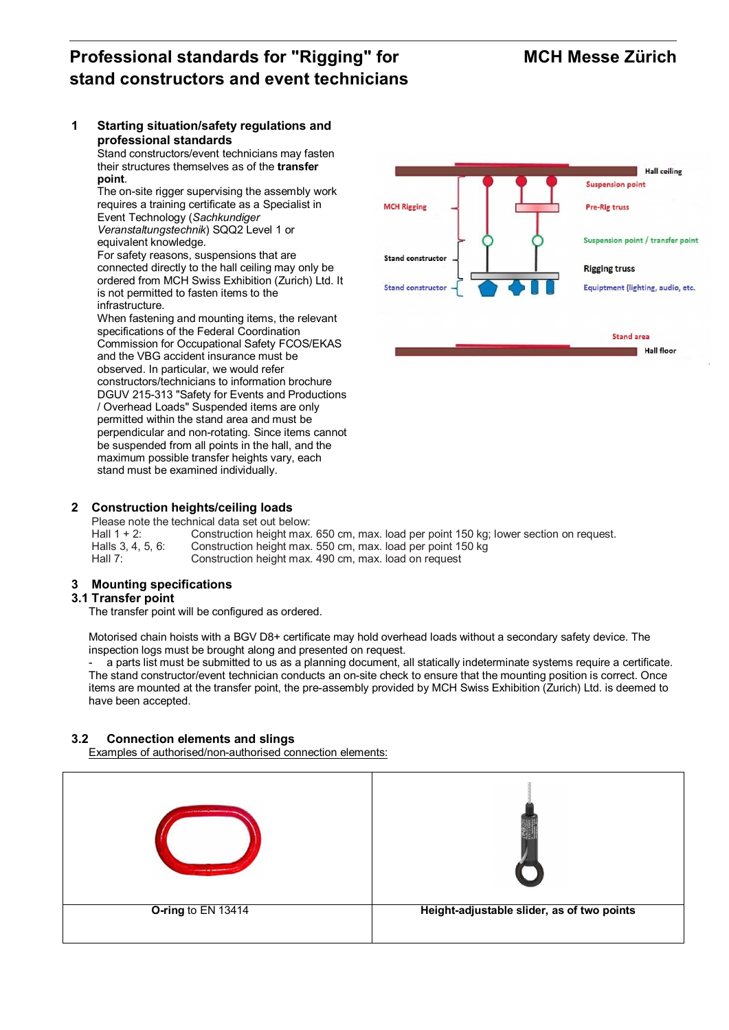# Professional standards for "Rigging" for MCH Messe Zürich stand constructors and event technicians

#### 1 Starting situation/safety regulations and professional standards Stand constructors/event technicians may fasten their structures themselves as of the transfer point. The on-site rigger supervising the assembly work requires a training certificate as a Specialist in Event Technology (*Sachkundiger Veranstaltungstechnik*) SQQ2 Level 1 or equivalent knowledge. For safety reasons, suspensions that are connected directly to the hall ceiling may only be ordered from MCH Swiss Exhibition (Zurich) Ltd. It is not permitted to fasten items to the infrastructure. When fastening and mounting items, the relevant specifications of the Federal Coordination

Commission for Occupational Safety FCOS/EKAS and the VBG accident insurance must be observed. In particular, we would refer constructors/technicians to information brochure DGUV 215-313 "Safety for Events and Productions / Overhead Loads" Suspended items are only permitted within the stand area and must be perpendicular and non-rotating. Since items cannot be suspended from all points in the hall, and the maximum possible transfer heights vary, each stand must be examined individually.



### 2 Construction heights/ceiling loads

Please note the technical data set out below:<br>Hall 1 + 2: Construction height max

Hall 1 + 2: Construction height max. 650 cm, max. load per point 150 kg; lower section on request.<br>Halls 3. 4. 5. 6: Construction height max. 550 cm. max. load per point 150 kg Construction height max. 550 cm, max. load per point 150 kg Hall 7: Construction height max. 490 cm, max. load on request

# 3 Mounting specifications

#### 3.1 Transfer point

The transfer point will be configured as ordered.

Motorised chain hoists with a BGV D8+ certificate may hold overhead loads without a secondary safety device. The inspection logs must be brought along and presented on request.

- a parts list must be submitted to us as a planning document, all statically indeterminate systems require a certificate. The stand constructor/event technician conducts an on-site check to ensure that the mounting position is correct. Once items are mounted at the transfer point, the pre-assembly provided by MCH Swiss Exhibition (Zurich) Ltd. is deemed to have been accepted.

# 3.2 Connection elements and slings

Examples of authorised/non-authorised connection elements:

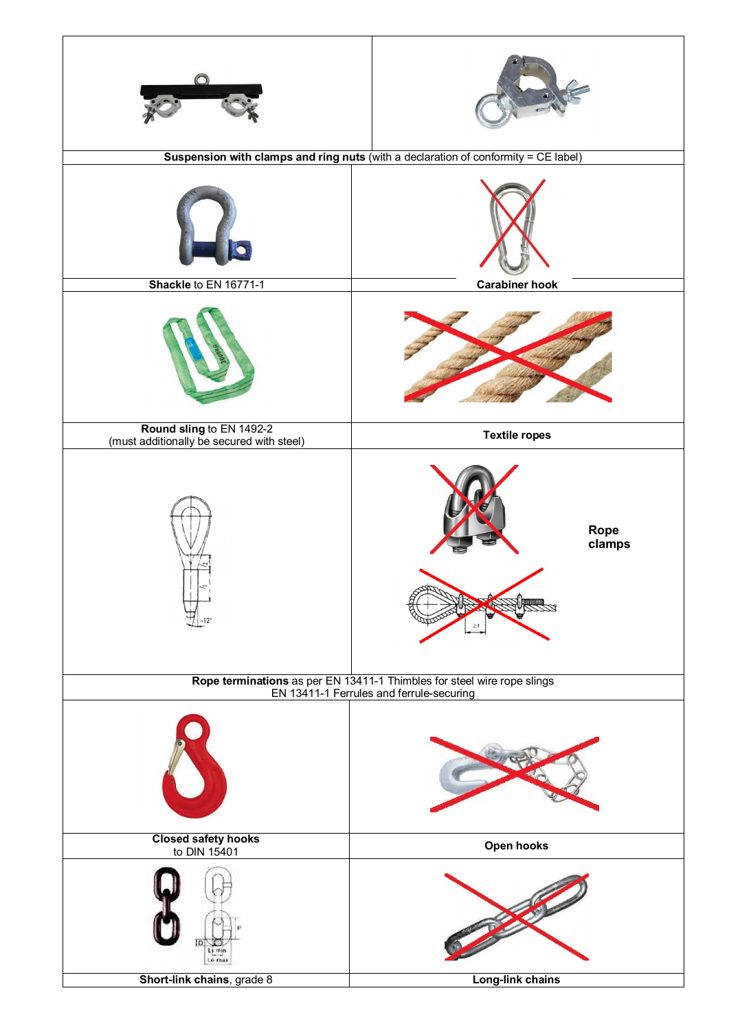